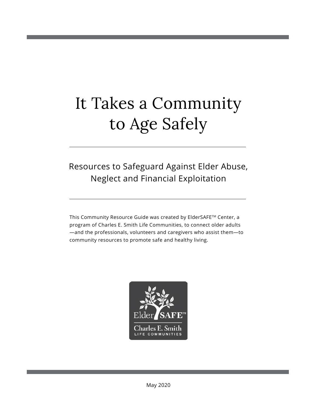# It Takes a Community to Age Safely

### Resources to Safeguard Against Elder Abuse, Neglect and Financial Exploitation

This Community Resource Guide was created by ElderSAFE™ Center, a program of Charles E. Smith Life Communities, to connect older adults —and the professionals, volunteers and caregivers who assist them—to community resources to promote safe and healthy living.

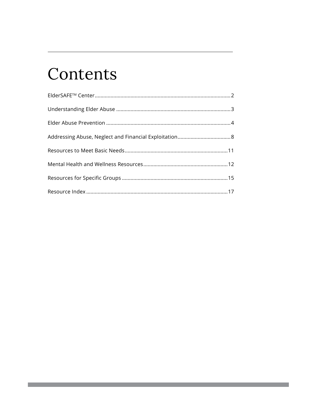## Contents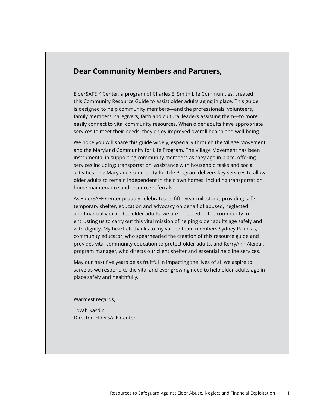#### **Dear Community Members and Partners,**

ElderSAFETM Center, a program of Charles E. Smith Life Communities, created this Community Resource Guide to assist older adults aging in place. This guide is designed to help community members—and the professionals, volunteers, family members, caregivers, faith and cultural leaders assisting them—to more easily connect to vital community resources. When older adults have appropriate services to meet their needs, they enjoy improved overall health and well-being.

We hope you will share this guide widely, especially through the Village Movement and the Maryland Community for Life Program. The Village Movement has been instrumental in supporting community members as they age in place, offering services including: transportation, assistance with household tasks and social activities. The Maryland Community for Life Program delivers key services to allow older adults to remain independent in their own homes, including transportation, home maintenance and resource referrals.

As ElderSAFE Center proudly celebrates its fifth year milestone, providing safe temporary shelter, education and advocacy on behalf of abused, neglected and financially exploited older adults, we are indebted to the community for entrusting us to carry out this vital mission of helping older adults age safely and with dignity. My heartfelt thanks to my valued team members Sydney Palinkas, community educator, who spearheaded the creation of this resource guide and provides vital community education to protect older adults, and KerryAnn Aleibar, program manager, who directs our client shelter and essential helpline services.

May our next five years be as fruitful in impacting the lives of all we aspire to serve as we respond to the vital and ever growing need to help older adults age in place safely and healthfully.

Warmest regards,

Tovah Kasdin Director, ElderSAFE Center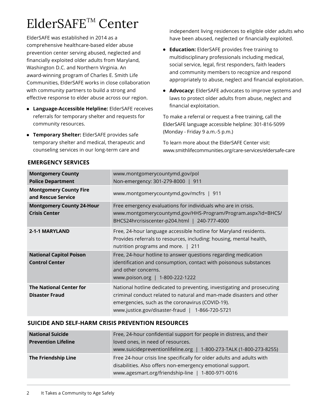## ElderSAFETM Center

ElderSAFE was established in 2014 as a comprehensive healthcare-based elder abuse prevention center serving abused, neglected and financially exploited older adults from Maryland, Washington D.C. and Northern Virginia. An award-winning program of Charles E. Smith Life Communities, ElderSAFE works in close collaboration with community partners to build a strong and effective response to elder abuse across our region.

- **Language-Accessible Helpline: ElderSAFE receives** referrals for temporary shelter and requests for community resources.
- **Temporary Shelter:** ElderSAFE provides safe temporary shelter and medical, therapeutic and counseling services in our long-term care and

independent living residences to eligible older adults who have been abused, neglected or financially exploited.

- **e** Education: ElderSAFE provides free training to multidisciplinary professionals including medical, social service, legal, first responders, faith leaders and community members to recognize and respond appropriately to abuse, neglect and financial exploitation.
- **Advocacy:** ElderSAFE advocates to improve systems and laws to protect older adults from abuse, neglect and financial exploitation.

To make a referral or request a free training, call the ElderSAFE language accessible helpline: 301-816-5099 (Monday - Friday 9 a.m.-5 p.m.)

To learn more about the ElderSAFE Center visit: www.smithlifecommunities.org/care-services/eldersafe-care

| <b>Montgomery County</b><br><b>Police Department</b>     | www.montgomerycountymd.gov/pol<br>Non-emergency: 301-279-8000   911                                                                                                                                                                                    |
|----------------------------------------------------------|--------------------------------------------------------------------------------------------------------------------------------------------------------------------------------------------------------------------------------------------------------|
| <b>Montgomery County Fire</b><br>and Rescue Service      | www.montgomerycountymd.gov/mcfrs   911                                                                                                                                                                                                                 |
| <b>Montgomery County 24-Hour</b><br><b>Crisis Center</b> | Free emergency evaluations for individuals who are in crisis.<br>www.montgomerycountymd.gov/HHS-Program/Program.aspx?id=BHCS/<br>BHCS24hrcrisiscenter-p204.html   240-777-4000                                                                         |
| 2-1-1 MARYLAND                                           | Free, 24-hour language accessible hotline for Maryland residents.<br>Provides referrals to resources, including: housing, mental health,<br>nutrition programs and more.   211                                                                         |
| <b>National Capitol Poison</b><br><b>Control Center</b>  | Free, 24-hour hotline to answer questions regarding medication<br>identification and consumption, contact with poisonous substances<br>and other concerns.<br>www.poison.org   1-800-222-1222                                                          |
| <b>The National Center for</b><br><b>Disaster Fraud</b>  | National hotline dedicated to preventing, investigating and prosecuting<br>criminal conduct related to natural and man-made disasters and other<br>emergencies, such as the coronavirus (COVID-19).<br>www.justice.gov/disaster-fraud   1-866-720-5721 |

#### **EMERGENCY SERVICES**

#### **SUICIDE AND SELF-HARM CRISIS PREVENTION RESOURCES**

| <b>National Suicide</b>    | Free, 24-hour confidential support for people in distress, and their   |
|----------------------------|------------------------------------------------------------------------|
| <b>Prevention Lifeline</b> | loved ones, in need of resources.                                      |
|                            | www.suicidepreventionlifeline.org   1-800-273-TALK (1-800-273-8255)    |
| <b>The Friendship Line</b> | Free 24-hour crisis line specifically for older adults and adults with |
|                            | disabilities. Also offers non-emergency emotional support.             |
|                            | www.agesmart.org/friendship-line   1-800-971-0016                      |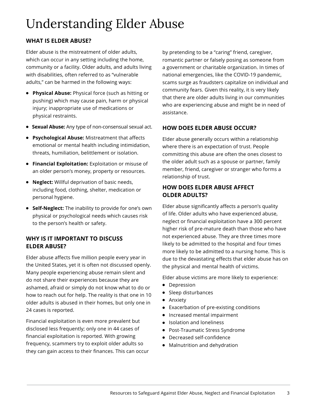### Understanding Elder Abuse

#### **WHAT IS ELDER ABUSE?**

Elder abuse is the mistreatment of older adults, which can occur in any setting including the home, community or a facility. Older adults, and adults living with disabilities, often referred to as "vulnerable adults," can be harmed in the following ways:

- **Physical Abuse:** Physical force (such as hitting or pushing) which may cause pain, harm or physical injury; inappropriate use of medications or physical restraints.
- **Sexual Abuse:** Any type of non-consensual sexual act.
- **Psychological Abuse:** Mistreatment that affects emotional or mental health including intimidation, threats, humiliation, belittlement or isolation.
- **Financial Exploitation:** Exploitation or misuse of an older person's money, property or resources.
- **Neglect:** Willful deprivation of basic needs, including food, clothing, shelter, medication or personal hygiene.
- **Self-Neglect:** The inability to provide for one's own physical or psychological needs which causes risk to the person's health or safety.

#### **WHY IS IT IMPORTANT TO DISCUSS ELDER ABUSE?**

Elder abuse affects five million people every year in the United States, yet it is often not discussed openly. Many people experiencing abuse remain silent and do not share their experiences because they are ashamed, afraid or simply do not know what to do or how to reach out for help. The reality is that one in 10 older adults is abused in their homes, but only one in 24 cases is reported.

Financial exploitation is even more prevalent but disclosed less frequently; only one in 44 cases of financial exploitation is reported. With growing frequency, scammers try to exploit older adults so they can gain access to their finances. This can occur

by pretending to be a "caring" friend, caregiver, romantic partner or falsely posing as someone from a government or charitable organization. In times of national emergencies, like the COVID-19 pandemic, scams surge as fraudsters capitalize on individual and community fears. Given this reality, it is very likely that there are older adults living in our communities who are experiencing abuse and might be in need of assistance.

#### **HOW DOES ELDER ABUSE OCCUR?**

Elder abuse generally occurs within a relationship where there is an expectation of trust. People committing this abuse are often the ones closest to the older adult such as a spouse or partner, family member, friend, caregiver or stranger who forms a relationship of trust.

#### **HOW DOES ELDER ABUSE AFFECT OLDER ADULTS?**

Elder abuse significantly affects a person's quality of life. Older adults who have experienced abuse, neglect or financial exploitation have a 300 percent higher risk of pre-mature death than those who have not experienced abuse. They are three times more likely to be admitted to the hospital and four times more likely to be admitted to a nursing home. This is due to the devastating effects that elder abuse has on the physical and mental health of victims.

Elder abuse victims are more likely to experience:

- Depression
- Sleep disturbances
- Anxiety
- Exacerbation of pre-existing conditions
- $\bullet$  Increased mental impairment
- Isolation and loneliness
- Post-Traumatic Stress Syndrome
- Decreased self-confidence
- Malnutrition and dehydration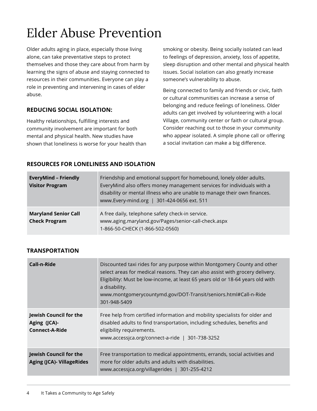## Elder Abuse Prevention

Older adults aging in place, especially those living alone, can take preventative steps to protect themselves and those they care about from harm by learning the signs of abuse and staying connected to resources in their communities. Everyone can play a role in preventing and intervening in cases of elder abuse.

#### **REDUCING SOCIAL ISOLATION:**

Healthy relationships, fulfilling interests and community involvement are important for both mental and physical health. New studies have shown that loneliness is worse for your health than smoking or obesity. Being socially isolated can lead to feelings of depression, anxiety, loss of appetite, sleep disruption and other mental and physical health issues. Social isolation can also greatly increase someone's vulnerability to abuse.

Being connected to family and friends or civic, faith or cultural communities can increase a sense of belonging and reduce feelings of loneliness. Older adults can get involved by volunteering with a local Village, community center or faith or cultural group. Consider reaching out to those in your community who appear isolated. A simple phone call or offering a social invitation can make a big difference.

#### **RESOURCES FOR LONELINESS AND ISOLATION**

| <b>EveryMind - Friendly</b><br><b>Visitor Program</b> | Friendship and emotional support for homebound, lonely older adults.<br>EveryMind also offers money management services for individuals with a<br>disability or mental illness who are unable to manage their own finances.<br>www.Every-mind.org   301-424-0656 ext. 511 |
|-------------------------------------------------------|---------------------------------------------------------------------------------------------------------------------------------------------------------------------------------------------------------------------------------------------------------------------------|
| <b>Maryland Senior Call</b><br><b>Check Program</b>   | A free daily, telephone safety check-in service.<br>www.aging.maryland.gov/Pages/senior-call-check.aspx<br>1-866-50-CHECK (1-866-502-0560)                                                                                                                                |

| Call-n-Ride                                                       | Discounted taxi rides for any purpose within Montgomery County and other<br>select areas for medical reasons. They can also assist with grocery delivery.<br>Eligibility: Must be low-income, at least 65 years old or 18-64 years old with<br>a disability.<br>www.montgomerycountymd.gov/DOT-Transit/seniors.html#Call-n-Ride<br>301-948-5409 |
|-------------------------------------------------------------------|-------------------------------------------------------------------------------------------------------------------------------------------------------------------------------------------------------------------------------------------------------------------------------------------------------------------------------------------------|
| Jewish Council for the<br>Aging (JCA)-<br>Connect-A-Ride          | Free help from certified information and mobility specialists for older and<br>disabled adults to find transportation, including schedules, benefits and<br>eligibility requirements.<br>www.accessica.org/connect-a-ride   301-738-3252                                                                                                        |
| <b>Jewish Council for the</b><br><b>Aging (JCA)- VillageRides</b> | Free transportation to medical appointments, errands, social activities and<br>more for older adults and adults with disabilities.<br>www.accessica.org/villagerides   301-255-4212                                                                                                                                                             |

#### **TRANSPORTATION**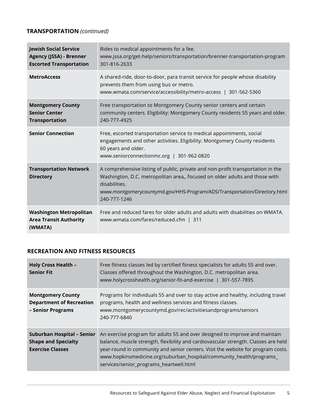#### **TRANSPORTATION** *(continued)*

| <b>Jewish Social Service</b><br><b>Agency (JSSA) - Brenner</b><br><b>Escorted Transportation</b> | Rides to medical appointments for a fee.<br>www.jssa.org/get-help/seniors/transportation/brenner-transportation-program<br>301-816-2633                                                                                                                                     |
|--------------------------------------------------------------------------------------------------|-----------------------------------------------------------------------------------------------------------------------------------------------------------------------------------------------------------------------------------------------------------------------------|
| <b>MetroAccess</b>                                                                               | A shared-ride, door-to-door, para transit service for people whose disability<br>prevents them from using bus or metro.<br>www.wmata.com/service/accessibility/metro-access   301-562-5360                                                                                  |
| <b>Montgomery County</b><br><b>Senior Center</b><br><b>Transportation</b>                        | Free transportation to Montgomery County senior centers and certain<br>community centers. Eligibility: Montgomery County residents 55 years and older.<br>240-777-4925                                                                                                      |
| <b>Senior Connection</b>                                                                         | Free, escorted transportation service to medical appointments, social<br>engagements and other activities. Eligibility: Montgomery County residents<br>60 years and older.<br>www.seniorconnectionmc.org   301-962-0820                                                     |
| <b>Transportation Network</b><br><b>Directory</b>                                                | A comprehensive listing of public, private and non-profit transportation in the<br>Washington, D.C. metropolitan area,, focused on older adults and those with<br>disabilities.<br>www.montgomerycountymd.gov/HHS-Program/ADS/Transportation/Directory.html<br>240-777-1246 |
| <b>Washington Metropolitan</b><br><b>Area Transit Authority</b><br>(WMATA)                       | Free and reduced fares for older adults and adults with disabilities on WMATA.<br>www.wmata.com/fares/reduced.cfm   311                                                                                                                                                     |

#### **RECREATION AND FITNESS RESOURCES**

| <b>Holy Cross Health -</b><br><b>Senior Fit</b>                                     | Free fitness classes led by certified fitness specialists for adults 55 and over.<br>Classes offered throughout the Washington, D.C. metropolitan area.<br>www.holycrosshealth.org/senior-fit-and-exercise   301-557-7895                                                                                                                                                 |
|-------------------------------------------------------------------------------------|---------------------------------------------------------------------------------------------------------------------------------------------------------------------------------------------------------------------------------------------------------------------------------------------------------------------------------------------------------------------------|
| <b>Montgomery County</b><br><b>Department of Recreation</b><br>- Senior Programs    | Programs for individuals 55 and over to stay active and healthy, including travel<br>programs, health and wellness services and fitness classes.<br>www.montgomerycountymd.gov/rec/activitiesandprograms/seniors<br>240-777-6840                                                                                                                                          |
| Suburban Hospital – Senior<br><b>Shape and Specialty</b><br><b>Exercise Classes</b> | An exercise program for adults 55 and over designed to improve and maintain<br>balance, muscle strength, flexibility and cardiovascular strength. Classes are held<br>year-round in community and senior centers. Visit the website for program costs.<br>www.hopkinsmedicine.org/suburban_hospital/community_health/programs_<br>services/senior_programs_heartwell.html |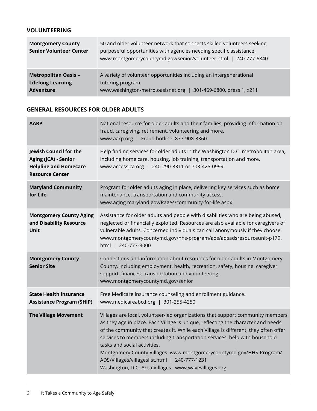#### **VOLUNTEERING**

| <b>Montgomery County</b><br><b>Senior Volunteer Center</b>                  | 50 and older volunteer network that connects skilled volunteers seeking<br>purposeful opportunities with agencies needing specific assistance.<br>www.montgomerycountymd.gov/senior/volunteer.html   240-777-6840 |
|-----------------------------------------------------------------------------|-------------------------------------------------------------------------------------------------------------------------------------------------------------------------------------------------------------------|
| <b>Metropolitan Oasis -</b><br><b>Lifelong Learning</b><br><b>Adventure</b> | A variety of volunteer opportunities including an intergenerational<br>tutoring program.<br>www.washington-metro.oasisnet.org<br>301-469-6800, press 1, x211                                                      |

#### **GENERAL RESOURCES FOR OLDER ADULTS**

| <b>AARP</b>                                                                                              | National resource for older adults and their families, providing information on<br>fraud, caregiving, retirement, volunteering and more.<br>www.aarp.org   Fraud hotline: 877-908-3360                                                                                                                                                                                                                                                                                                                                                                  |
|----------------------------------------------------------------------------------------------------------|---------------------------------------------------------------------------------------------------------------------------------------------------------------------------------------------------------------------------------------------------------------------------------------------------------------------------------------------------------------------------------------------------------------------------------------------------------------------------------------------------------------------------------------------------------|
| Jewish Council for the<br>Aging (JCA) - Senior<br><b>Helpline and Homecare</b><br><b>Resource Center</b> | Help finding services for older adults in the Washington D.C. metropolitan area,<br>including home care, housing, job training, transportation and more.<br>www.accessjca.org   240-290-3311 or 703-425-0999                                                                                                                                                                                                                                                                                                                                            |
| <b>Maryland Community</b><br>for Life                                                                    | Program for older adults aging in place, delivering key services such as home<br>maintenance, transportation and community access.<br>www.aging.maryland.gov/Pages/community-for-life.aspx                                                                                                                                                                                                                                                                                                                                                              |
| <b>Montgomery County Aging</b><br>and Disability Resource<br>Unit                                        | Assistance for older adults and people with disabilities who are being abused,<br>neglected or financially exploited. Resources are also available for caregivers of<br>vulnerable adults. Concerned individuals can call anonymously if they choose.<br>www.montgomerycountymd.gov/hhs-program/ads/adsadsresourceunit-p179.<br>html   240-777-3000                                                                                                                                                                                                     |
| <b>Montgomery County</b><br><b>Senior Site</b>                                                           | Connections and information about resources for older adults in Montgomery<br>County, including employment, health, recreation, safety, housing, caregiver<br>support, finances, transportation and volunteering.<br>www.montgomerycountymd.gov/senior                                                                                                                                                                                                                                                                                                  |
| <b>State Health Insurance</b><br><b>Assistance Program (SHIP)</b>                                        | Free Medicare insurance counseling and enrollment guidance.<br>www.medicareabcd.org   301-255-4250                                                                                                                                                                                                                                                                                                                                                                                                                                                      |
| <b>The Village Movement</b>                                                                              | Villages are local, volunteer-led organizations that support community members<br>as they age in place. Each Village is unique, reflecting the character and needs<br>of the community that creates it. While each Village is different, they often offer<br>services to members including transportation services, help with household<br>tasks and social activities.<br>Montgomery County Villages: www.montgomerycountymd.gov/HHS-Program/<br>ADS/Villages/villageslist.html   240-777-1231<br>Washington, D.C. Area Villages: www.wavevillages.org |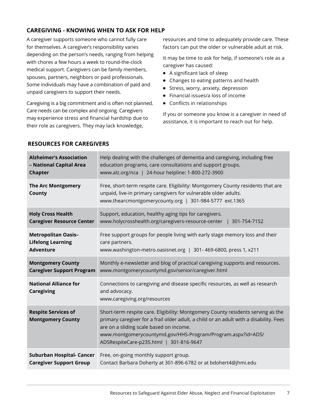#### **CAREGIVING - KNOWING WHEN TO ASK FOR HELP**

A caregiver supports someone who cannot fully care for themselves. A caregiver's responsibility varies depending on the person's needs, ranging from helping with chores a few hours a week to round-the-clock medical support. Caregivers can be family members, spouses, partners, neighbors or paid professionals. Some individuals may have a combination of paid and unpaid caregivers to support their needs.

Caregiving is a big commitment and is often not planned. Care needs can be complex and ongoing. Caregivers may experience stress and financial hardship due to their role as caregivers. They may lack knowledge,

resources and time to adequately provide care. These factors can put the older or vulnerable adult at risk.

It may be time to ask for help, if someone's role as a caregiver has caused:

- A significant lack of sleep
- Changes to eating patterns and health
- Stress, worry, anxiety, depression
- Financial issues/a loss of income
- Conflicts in relationships

If you or someone you know is a caregiver in need of assistance, it is important to reach out for help.

| <b>Alzheimer's Association</b>                               | Help dealing with the challenges of dementia and caregiving, including free                                                                                                                                                                                                                                                     |
|--------------------------------------------------------------|---------------------------------------------------------------------------------------------------------------------------------------------------------------------------------------------------------------------------------------------------------------------------------------------------------------------------------|
| - National Capital Area                                      | education programs, care consultations and support groups.                                                                                                                                                                                                                                                                      |
| <b>Chapter</b>                                               | www.alz.org/nca   24-hour helpline: 1-800-272-3900                                                                                                                                                                                                                                                                              |
| <b>The Arc Montgomery</b><br><b>County</b>                   | Free, short-term respite care. Eligibility: Montgomery County residents that are<br>unpaid, live-in primary caregivers for vulnerable older adults.<br>www.thearcmontgomerycounty.org   301-984-5777 ext.1365                                                                                                                   |
| <b>Holy Cross Health</b><br><b>Caregiver Resource Center</b> | Support, education, healthy aging tips for caregivers.<br>www.holycrosshealth.org/caregivers-resource-center<br>301-754-7152                                                                                                                                                                                                    |
| <b>Metropolitan Oasis-</b>                                   | Free support groups for people living with early stage memory loss and their                                                                                                                                                                                                                                                    |
| <b>Lifelong Learning</b>                                     | care partners.                                                                                                                                                                                                                                                                                                                  |
| <b>Adventure</b>                                             | www.washington-metro.oasisnet.org   301-469-6800, press 1, x211                                                                                                                                                                                                                                                                 |
| <b>Montgomery County</b>                                     | Monthly e-newsletter and blog of practical caregiving supports and resources.                                                                                                                                                                                                                                                   |
| <b>Caregiver Support Program</b>                             | www.montgomerycountymd.gov/senior/caregiver.html                                                                                                                                                                                                                                                                                |
| <b>National Alliance for</b><br><b>Caregiving</b>            | Connections to caregiving and disease specific resources, as well as research<br>and advocacy.<br>www.caregiving.org/resources                                                                                                                                                                                                  |
| <b>Respite Services of</b><br><b>Montgomery County</b>       | Short-term respite care. Eligibility: Montgomery County residents serving as the<br>primary caregiver for a frail older adult, a child or an adult with a disability. Fees<br>are on a sliding scale based on income.<br>www.montgomerycountymd.gov/HHS-Program/Program.aspx?id=ADS/<br>ADSRespiteCare-p235.html   301-816-9647 |
| Suburban Hospital- Cancer                                    | Free, on-going monthly support group.                                                                                                                                                                                                                                                                                           |
| <b>Caregiver Support Group</b>                               | Contact Barbara Doherty at 301-896-6782 or at bdohert4@jhmi.edu                                                                                                                                                                                                                                                                 |

#### **RESOURCES FOR CAREGIVERS**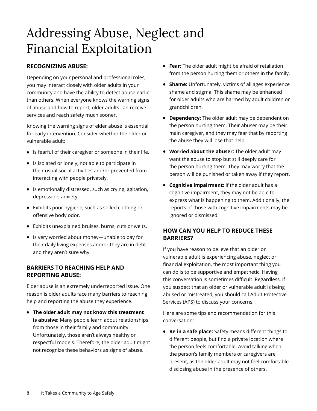### Addressing Abuse, Neglect and Financial Exploitation

#### **RECOGNIZING ABUSE:**

Depending on your personal and professional roles, you may interact closely with older adults in your community and have the ability to detect abuse earlier than others. When everyone knows the warning signs of abuse and how to report, older adults can receive services and reach safety much sooner.

Knowing the warning signs of elder abuse is essential for early intervention. Consider whether the older or vulnerable adult:

- **.** Is fearful of their caregiver or someone in their life.
- Is isolated or lonely, not able to participate in their usual social activities and/or prevented from interacting with people privately.
- $\bullet$  Is emotionally distressed, such as crying, agitation, depression, anxiety.
- Exhibits poor hygiene, such as soiled clothing or offensive body odor.
- Exhibits unexplained bruises, burns, cuts or welts.
- **.** Is very worried about money—unable to pay for their daily living expenses and/or they are in debt and they aren't sure why.

#### **BARRIERS TO REACHING HELP AND REPORTING ABUSE:**

Elder abuse is an extremely underreported issue. One reason is older adults face many barriers to reaching help and reporting the abuse they experience.

**• The older adult may not know this treatment is abusive:** Many people learn about relationships from those in their family and community. Unfortunately, those aren't always healthy or respectful models. Therefore, the older adult might not recognize these behaviors as signs of abuse.

- **Fear:** The older adult might be afraid of retaliation from the person hurting them or others in the family.
- **Shame:** Unfortunately, victims of all ages experience shame and stigma. This shame may be enhanced for older adults who are harmed by adult children or grandchildren.
- **Dependency:** The older adult may be dependent on the person hurting them. Their abuser may be their main caregiver, and they may fear that by reporting the abuse they will lose that help.
- **Worried about the abuser:** The older adult may want the abuse to stop but still deeply care for the person hurting them. They may worry that the person will be punished or taken away if they report.
- **Cognitive impairment:** If the older adult has a cognitive impairment, they may not be able to express what is happening to them. Additionally, the reports of those with cognitive impairments may be ignored or dismissed.

#### **HOW CAN YOU HELP TO REDUCE THESE BARRIERS?**

If you have reason to believe that an older or vulnerable adult is experiencing abuse, neglect or financial exploitation, the most important thing you can do is to be supportive and empathetic. Having this conversation is sometimes difficult. Regardless, if you suspect that an older or vulnerable adult is being abused or mistreated, you should call Adult Protective Services (APS) to discuss your concerns.

Here are some tips and recommendation for this conversation:

**Be in a safe place:** Safety means different things to different people, but find a private location where the person feels comfortable. Avoid talking when the person's family members or caregivers are present, as the older adult may not feel comfortable disclosing abuse in the presence of others.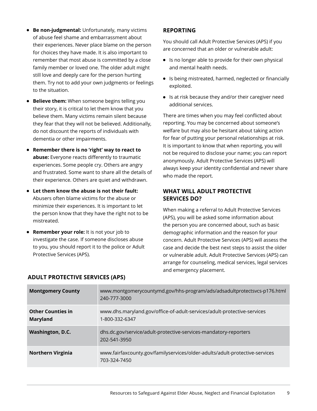- **Be non-judgmental:** Unfortunately, many victims of abuse feel shame and embarrassment about their experiences. Never place blame on the person for choices they have made. It is also important to remember that most abuse is committed by a close family member or loved one. The older adult might still love and deeply care for the person hurting them. Try not to add your own judgments or feelings to the situation.
- **Believe them:** When someone begins telling you their story, it is critical to let them know that you believe them. Many victims remain silent because they fear that they will not be believed. Additionally, do not discount the reports of individuals with dementia or other impairments.
- **Remember there is no 'right' way to react to abuse:** Everyone reacts differently to traumatic experiences. Some people cry. Others are angry and frustrated. Some want to share all the details of their experience. Others are quiet and withdrawn.
- **Let them know the abuse is not their fault:** Abusers often blame victims for the abuse or minimize their experiences. It is important to let the person know that they have the right not to be mistreated.
- **Remember your role:** It is not your job to investigate the case. If someone discloses abuse to you, you should report it to the police or Adult Protective Services (APS).

#### **REPORTING**

You should call Adult Protective Services (APS) if you are concerned that an older or vulnerable adult:

- Is no longer able to provide for their own physical and mental health needs.
- Is being mistreated, harmed, neglected or financially exploited.
- Is at risk because they and/or their caregiver need additional services.

There are times when you may feel conflicted about reporting. You may be concerned about someone's welfare but may also be hesitant about taking action for fear of putting your personal relationships at risk. It is important to know that when reporting, you will not be required to disclose your name; you can report anonymously. Adult Protective Services (APS) will always keep your identity confidential and never share who made the report.

#### **WHAT WILL ADULT PROTECTIVE SERVICES DO?**

When making a referral to Adult Protective Services (APS), you will be asked some information about the person you are concerned about, such as basic demographic information and the reason for your concern. Adult Protective Services (APS) will assess the case and decide the best next steps to assist the older or vulnerable adult. Adult Protective Services (APS) can arrange for counseling, medical services, legal services and emergency placement.

| <b>Montgomery County</b>                    | www.montgomerycountymd.gov/hhs-program/ads/adsadultprotectsvcs-p176.html<br>240-777-3000    |
|---------------------------------------------|---------------------------------------------------------------------------------------------|
| <b>Other Counties in</b><br><b>Maryland</b> | www.dhs.maryland.gov/office-of-adult-services/adult-protective-services<br>1-800-332-6347   |
| <b>Washington, D.C.</b>                     | dhs.dc.gov/service/adult-protective-services-mandatory-reporters<br>202-541-3950            |
| <b>Northern Virginia</b>                    | www.fairfaxcounty.gov/familyservices/older-adults/adult-protective-services<br>703-324-7450 |

#### **ADULT PROTECTIVE SERVICES (APS)**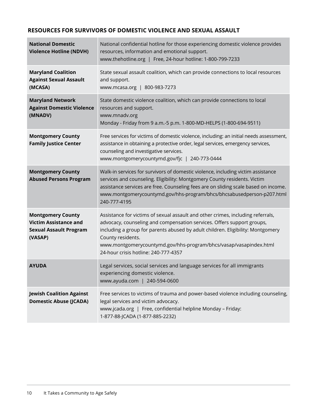#### **RESOURCES FOR SURVIVORS OF DOMESTIC VIOLENCE AND SEXUAL ASSAULT**

| <b>National Domestic</b><br><b>Violence Hotline (NDVH)</b>                                           | National confidential hotline for those experiencing domestic violence provides<br>resources, information and emotional support.<br>www.thehotline.org   Free, 24-hour hotline: 1-800-799-7233                                                                                                                                                                                 |
|------------------------------------------------------------------------------------------------------|--------------------------------------------------------------------------------------------------------------------------------------------------------------------------------------------------------------------------------------------------------------------------------------------------------------------------------------------------------------------------------|
| <b>Maryland Coalition</b><br><b>Against Sexual Assault</b><br>(MCASA)                                | State sexual assault coalition, which can provide connections to local resources<br>and support.<br>www.mcasa.org   800-983-7273                                                                                                                                                                                                                                               |
| <b>Maryland Network</b><br><b>Against Domestic Violence</b><br>(MNADV)                               | State domestic violence coalition, which can provide connections to local<br>resources and support.<br>www.mnadv.org<br>Monday - Friday from 9 a.m.-5 p.m. 1-800-MD-HELPS (1-800-694-9511)                                                                                                                                                                                     |
| <b>Montgomery County</b><br><b>Family Justice Center</b>                                             | Free services for victims of domestic violence, including: an initial needs assessment,<br>assistance in obtaining a protective order, legal services, emergency services,<br>counseling and investigative services.<br>www.montgomerycountymd.gov/fjc   240-773-0444                                                                                                          |
| <b>Montgomery County</b><br><b>Abused Persons Program</b>                                            | Walk-in services for survivors of domestic violence, including victim assistance<br>services and counseling. Eligibility: Montgomery County residents. Victim<br>assistance services are free. Counseling fees are on sliding scale based on income.<br>www.montgomerycountymd.gov/hhs-program/bhcs/bhcsabusedperson-p207.html<br>240-777-4195                                 |
| <b>Montgomery County</b><br><b>Victim Assistance and</b><br><b>Sexual Assault Program</b><br>(VASAP) | Assistance for victims of sexual assault and other crimes, including referrals,<br>advocacy, counseling and compensation services. Offers support groups,<br>including a group for parents abused by adult children. Eligibility: Montgomery<br>County residents.<br>www.montgomerycountymd.gov/hhs-program/bhcs/vasap/vasapindex.html<br>24-hour crisis hotline: 240-777-4357 |
| <b>AYUDA</b>                                                                                         | Legal services, social services and language services for all immigrants<br>experiencing domestic violence.<br>www.ayuda.com   240-594-0600                                                                                                                                                                                                                                    |
| <b>Jewish Coalition Against</b><br><b>Domestic Abuse (JCADA)</b>                                     | Free services to victims of trauma and power-based violence including counseling,<br>legal services and victim advocacy.<br>www.jcada.org   Free, confidential helpline Monday - Friday:<br>1-877-88-JCADA (1-877-885-2232)                                                                                                                                                    |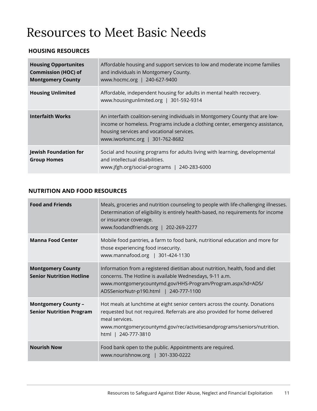### Resources to Meet Basic Needs

#### **HOUSING RESOURCES**

| <b>Housing Opportunites</b><br><b>Commission (HOC) of</b><br><b>Montgomery County</b> | Affordable housing and support services to low and moderate income families<br>and individuals in Montgomery County.<br>www.hocmc.org   240-627-9400                                                                                            |
|---------------------------------------------------------------------------------------|-------------------------------------------------------------------------------------------------------------------------------------------------------------------------------------------------------------------------------------------------|
| <b>Housing Unlimited</b>                                                              | Affordable, independent housing for adults in mental health recovery.<br>www.housingunlimited.org   301-592-9314                                                                                                                                |
| <b>Interfaith Works</b>                                                               | An interfaith coalition-serving individuals in Montgomery County that are low-<br>income or homeless. Programs include a clothing center, emergency assistance,<br>housing services and vocational services.<br>www.iworksmc.org   301-762-8682 |
| <b>Jewish Foundation for</b><br><b>Group Homes</b>                                    | Social and housing programs for adults living with learning, developmental<br>and intellectual disabilities.<br>www.jfgh.org/social-programs   240-283-6000                                                                                     |

#### **NUTRITION AND FOOD RESOURCES**

| <b>Food and Friends</b>                                       | Meals, groceries and nutrition counseling to people with life-challenging illnesses.<br>Determination of eligibility is entirely health-based, no requirements for income<br>or insurance coverage.<br>www.foodandfriends.org   202-269-2277                                  |
|---------------------------------------------------------------|-------------------------------------------------------------------------------------------------------------------------------------------------------------------------------------------------------------------------------------------------------------------------------|
| <b>Manna Food Center</b>                                      | Mobile food pantries, a farm to food bank, nutritional education and more for<br>those experiencing food insecurity.<br>www.mannafood.org   301-424-1130                                                                                                                      |
| <b>Montgomery County</b><br><b>Senior Nutrition Hotline</b>   | Information from a registered dietitian about nutrition, health, food and diet<br>concerns. The Hotline is available Wednesdays, 9-11 a.m.<br>www.montgomerycountymd.gov/HHS-Program/Program.aspx?id=ADS/<br>ADSSeniorNutr-p190.html   240-777-1100                           |
| <b>Montgomery County -</b><br><b>Senior Nutrition Program</b> | Hot meals at lunchtime at eight senior centers across the county. Donations<br>requested but not required. Referrals are also provided for home delivered<br>meal services.<br>www.montgomerycountymd.gov/rec/activitiesandprograms/seniors/nutrition.<br>html   240-777-3810 |
| <b>Nourish Now</b>                                            | Food bank open to the public. Appointments are required.<br>www.nourishnow.org   301-330-0222                                                                                                                                                                                 |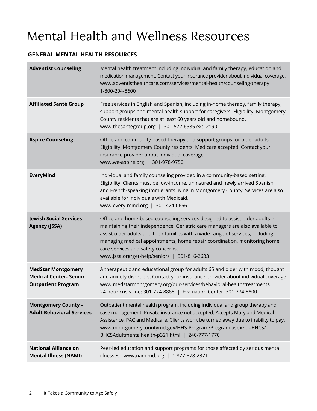### Mental Health and Wellness Resources

#### **GENERAL MENTAL HEALTH RESOURCES**

| <b>Adventist Counseling</b>                                                             | Mental health treatment including individual and family therapy, education and<br>medication management. Contact your insurance provider about individual coverage.<br>www.adventisthealthcare.com/services/mental-health/counseling-therapy<br>1-800-204-8600                                                                                                                                                      |
|-----------------------------------------------------------------------------------------|---------------------------------------------------------------------------------------------------------------------------------------------------------------------------------------------------------------------------------------------------------------------------------------------------------------------------------------------------------------------------------------------------------------------|
| <b>Affiliated Santé Group</b>                                                           | Free services in English and Spanish, including in-home therapy, family therapy,<br>support groups and mental health support for caregivers. Eligibility: Montgomery<br>County residents that are at least 60 years old and homebound.<br>www.thesantegroup.org   301-572-6585 ext. 2190                                                                                                                            |
| <b>Aspire Counseling</b>                                                                | Office and community-based therapy and support groups for older adults.<br>Eligibility: Montgomery County residents. Medicare accepted. Contact your<br>insurance provider about individual coverage.<br>www.we-aspire.org   301-978-9750                                                                                                                                                                           |
| EveryMind                                                                               | Individual and family counseling provided in a community-based setting.<br>Eligibility: Clients must be low-income, uninsured and newly arrived Spanish<br>and French-speaking immigrants living in Montgomery County. Services are also<br>available for individuals with Medicaid.<br>www.every-mind.org   301-424-0656                                                                                           |
| <b>Jewish Social Services</b><br><b>Agency (JSSA)</b>                                   | Office and home-based counseling services designed to assist older adults in<br>maintaining their independence. Geriatric care managers are also available to<br>assist older adults and their families with a wide range of services, including:<br>managing medical appointments, home repair coordination, monitoring home<br>care services and safety concerns.<br>www.jssa.org/get-help/seniors   301-816-2633 |
| <b>MedStar Montgomery</b><br><b>Medical Center- Senior</b><br><b>Outpatient Program</b> | A therapeutic and educational group for adults 65 and older with mood, thought<br>and anxiety disorders. Contact your insurance provider about individual coverage.<br>www.medstarmontgomery.org/our-services/behavioral-health/treatments<br>24-hour crisis line: 301-774-8888   Evaluation Center: 301-774-8800                                                                                                   |
| <b>Montgomery County -</b><br><b>Adult Behavioral Services</b>                          | Outpatient mental health program, including individual and group therapy and<br>case management. Private insurance not accepted. Accepts Maryland Medical<br>Assistance, PAC and Medicare. Clients won't be turned away due to inability to pay.<br>www.montgomerycountymd.gov/HHS-Program/Program.aspx?id=BHCS/<br>BHCSAdultmentalhealth-p321.html   240-777-1770                                                  |
| <b>National Alliance on</b><br><b>Mental Illness (NAMI)</b>                             | Peer-led education and support programs for those affected by serious mental<br>illnesses. www.namimd.org   1-877-878-2371                                                                                                                                                                                                                                                                                          |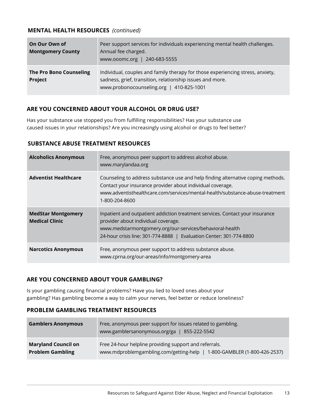#### **MENTAL HEALTH RESOURCES** *(continued)*

| On Our Own of<br><b>Montgomery County</b> | Peer support services for individuals experiencing mental health challenges.<br>Annual fee charged.<br>www.ooomc.org   240-683-5555                                                     |
|-------------------------------------------|-----------------------------------------------------------------------------------------------------------------------------------------------------------------------------------------|
| <b>The Pro Bono Counseling</b><br>Project | Individual, couples and family therapy for those experiencing stress, anxiety,<br>sadness, grief, transition, relationship issues and more.<br>www.probonocounseling.org   410-825-1001 |

#### **ARE YOU CONCERNED ABOUT YOUR ALCOHOL OR DRUG USE?**

Has your substance use stopped you from fulfilling responsibilities? Has your substance use caused issues in your relationships? Are you increasingly using alcohol or drugs to feel better?

#### **SUBSTANCE ABUSE TREATMENT RESOURCES**

| <b>Alcoholics Anonymous</b>                        | Free, anonymous peer support to address alcohol abuse.<br>www.marylandaa.org                                                                                                                                                                            |
|----------------------------------------------------|---------------------------------------------------------------------------------------------------------------------------------------------------------------------------------------------------------------------------------------------------------|
| <b>Adventist Healthcare</b>                        | Counseling to address substance use and help finding alternative coping methods.<br>Contact your insurance provider about individual coverage.<br>www.adventisthealthcare.com/services/mental-health/substance-abuse-treatment<br>1-800-204-8600        |
| <b>MedStar Montgomery</b><br><b>Medical Clinic</b> | Inpatient and outpatient addiction treatment services. Contact your insurance<br>provider about individual coverage.<br>www.medstarmontgomery.org/our-services/behavioral-health<br>24-hour crisis line: 301-774-8888   Evaluation Center: 301-774-8800 |
| <b>Narcotics Anonymous</b>                         | Free, anonymous peer support to address substance abuse.<br>www.cprna.org/our-areas/info/montgomery-area                                                                                                                                                |

#### **ARE YOU CONCERNED ABOUT YOUR GAMBLING?**

Is your gambling causing financial problems? Have you lied to loved ones about your gambling? Has gambling become a way to calm your nerves, feel better or reduce loneliness?

#### **PROBLEM GAMBLING TREATMENT RESOURCES**

| <b>Gamblers Anonymous</b>  | Free, anonymous peer support for issues related to gambling.<br>www.gamblersanonymous.org/ga   855-222-5542 |
|----------------------------|-------------------------------------------------------------------------------------------------------------|
| <b>Maryland Council on</b> | Free 24-hour helpline providing support and referrals.                                                      |
| <b>Problem Gambling</b>    | www.mdproblemgambling.com/getting-help   1-800-GAMBLER (1-800-426-2537)                                     |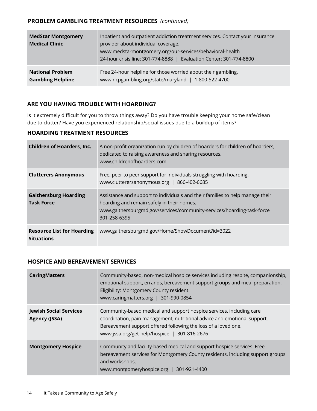#### **PROBLEM GAMBLING TREATMENT RESOURCES** *(continued)*

| <b>MedStar Montgomery</b><br><b>Medical Clinic</b> | Inpatient and outpatient addiction treatment services. Contact your insurance<br>provider about individual coverage.<br>www.medstarmontgomery.org/our-services/behavioral-health<br>24-hour crisis line: 301-774-8888   Evaluation Center: 301-774-8800 |
|----------------------------------------------------|---------------------------------------------------------------------------------------------------------------------------------------------------------------------------------------------------------------------------------------------------------|
| <b>National Problem</b>                            | Free 24-hour helpline for those worried about their gambling.                                                                                                                                                                                           |
| <b>Gambling Helpline</b>                           | www.ncpgambling.org/state/maryland   1-800-522-4700                                                                                                                                                                                                     |

#### **ARE YOU HAVING TROUBLE WITH HOARDING?**

Is it extremely difficult for you to throw things away? Do you have trouble keeping your home safe/clean due to clutter? Have you experienced relationship/social issues due to a buildup of items?

#### **HOARDING TREATMENT RESOURCES**

| <b>Children of Hoarders, Inc.</b>                      | A non-profit organization run by children of hoarders for children of hoarders,<br>dedicated to raising awareness and sharing resources.<br>www.childrenofhoarders.com                                                |
|--------------------------------------------------------|-----------------------------------------------------------------------------------------------------------------------------------------------------------------------------------------------------------------------|
| <b>Clutterers Anonymous</b>                            | Free, peer to peer support for individuals struggling with hoarding.<br>www.clutterersanonymous.org   866-402-6685                                                                                                    |
| <b>Gaithersburg Hoarding</b><br><b>Task Force</b>      | Assistance and support to individuals and their families to help manage their<br>hoarding and remain safely in their homes.<br>www.gaithersburgmd.gov/services/community-services/hoarding-task-force<br>301-258-6395 |
| <b>Resource List for Hoarding</b><br><b>Situations</b> | www.gaithersburgmd.gov/Home/ShowDocument?id=3022                                                                                                                                                                      |

#### **HOSPICE AND BEREAVEMENT SERVICES**

| <b>CaringMatters</b>                           | Community-based, non-medical hospice services including respite, companionship,<br>emotional support, errands, bereavement support groups and meal preparation.<br>Eligibility: Montgomery County resident.<br>www.caringmatters.org   301-990-0854                |
|------------------------------------------------|--------------------------------------------------------------------------------------------------------------------------------------------------------------------------------------------------------------------------------------------------------------------|
| <b>Jewish Social Services</b><br>Agency (JSSA) | Community-based medical and support hospice services, including care<br>coordination, pain management, nutritional advice and emotional support.<br>Bereavement support offered following the loss of a loved one.<br>www.jssa.org/get-help/hospice   301-816-2676 |
| <b>Montgomery Hospice</b>                      | Community and facility-based medical and support hospice services. Free<br>bereavement services for Montgomery County residents, including support groups<br>and workshops.<br>www.montgomeryhospice.org   301-921-4400                                            |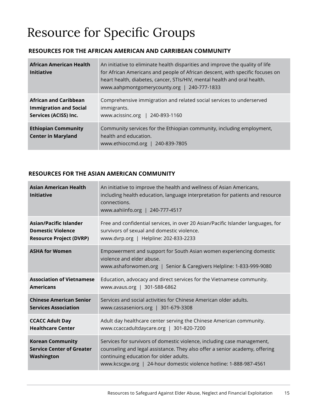### Resource for Specific Groups

#### **RESOURCES FOR THE AFRICAN AMERICAN AND CARRIBEAN COMMUNITY**

| <b>African American Health</b><br><b>Initiative</b>                                    | An initiative to eliminate health disparities and improve the quality of life<br>for African Americans and people of African descent, with specific focuses on<br>heart health, diabetes, cancer, STIs/HIV, mental health and oral health.<br>www.aahpmontgomerycounty.org   240-777-1833 |
|----------------------------------------------------------------------------------------|-------------------------------------------------------------------------------------------------------------------------------------------------------------------------------------------------------------------------------------------------------------------------------------------|
| <b>African and Caribbean</b><br><b>Immigration and Social</b><br>Services (ACISS) Inc. | Comprehensive immigration and related social services to underserved<br>immigrants.<br>www.acissinc.org   240-893-1160                                                                                                                                                                    |
| <b>Ethiopian Community</b><br><b>Center in Maryland</b>                                | Community services for the Ethiopian community, including employment,<br>health and education.<br>www.ethioccmd.org   240-839-7805                                                                                                                                                        |

#### **RESOURCES FOR THE ASIAN AMERICAN COMMUNITY**

| <b>Asian American Health</b><br><b>Initiative</b>                         | An initiative to improve the health and wellness of Asian Americans,<br>including health education, language interpretation for patients and resource<br>connections.<br>www.aahiinfo.org   240-777-4517                                                               |
|---------------------------------------------------------------------------|------------------------------------------------------------------------------------------------------------------------------------------------------------------------------------------------------------------------------------------------------------------------|
| <b>Asian/Pacific Islander</b>                                             | Free and confidential services, in over 20 Asian/Pacific Islander languages, for                                                                                                                                                                                       |
| <b>Domestic Violence</b>                                                  | survivors of sexual and domestic violence.                                                                                                                                                                                                                             |
| <b>Resource Project (DVRP)</b>                                            | www.dvrp.org   Helpline: 202-833-2233                                                                                                                                                                                                                                  |
| <b>ASHA for Women</b>                                                     | Empowerment and support for South Asian women experiencing domestic<br>violence and elder abuse.<br>www.ashaforwomen.org   Senior & Caregivers Helpline: 1-833-999-9080                                                                                                |
| <b>Association of Vietnamese</b>                                          | Education, advocacy and direct services for the Vietnamese community.                                                                                                                                                                                                  |
| <b>Americans</b>                                                          | www.avaus.org   301-588-6862                                                                                                                                                                                                                                           |
| <b>Chinese American Senior</b>                                            | Services and social activities for Chinese American older adults.                                                                                                                                                                                                      |
| <b>Services Association</b>                                               | www.cassaseniors.org   301-679-3308                                                                                                                                                                                                                                    |
| <b>CCACC Adult Day</b>                                                    | Adult day healthcare center serving the Chinese American community.                                                                                                                                                                                                    |
| <b>Healthcare Center</b>                                                  | www.ccaccadultdaycare.org   301-820-7200                                                                                                                                                                                                                               |
| <b>Korean Community</b><br><b>Service Center of Greater</b><br>Washington | Services for survivors of domestic violence, including case management,<br>counseling and legal assistance. They also offer a senior academy, offering<br>continuing education for older adults.<br>www.kcscgw.org   24-hour domestic violence hotline: 1-888-987-4561 |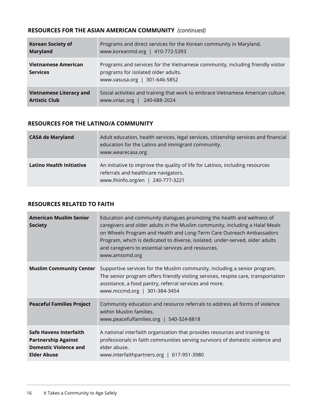#### **RESOURCES FOR THE ASIAN AMERICAN COMMUNITY** *(continued)*

| <b>Korean Society of</b>               | Programs and direct services for the Korean community in Maryland.                                                                                     |
|----------------------------------------|--------------------------------------------------------------------------------------------------------------------------------------------------------|
| <b>Maryland</b>                        | www.koreanmd.org   410-772-5393                                                                                                                        |
| Vietnamese American<br><b>Services</b> | Programs and services for the Vietnamese community, including friendly visitor<br>programs for isolated older adults.<br>www.vasusa.org   301-646-5852 |
| <b>Vietnamese Literacy and</b>         | Social activities and training that work to embrace Vietnamese American culture.                                                                       |
| <b>Artistic Club</b>                   | www.vnlac.org   240-688-2024                                                                                                                           |

#### **RESOURCES FOR THE LATINO/A COMMUNITY**

| <b>CASA de Maryland</b>         | Adult education, health services, legal services, citizenship services and financial<br>education for the Latino and immigrant community.<br>www.wearecasa.org |
|---------------------------------|----------------------------------------------------------------------------------------------------------------------------------------------------------------|
| <b>Latino Health Initiative</b> | An initiative to improve the quality of life for Latinos, including resources<br>referrals and healthcare navigators.<br>www.lhiinfo.org/en   240-777-3221     |

#### **RESOURCES RELATED TO FAITH**

| <b>American Muslim Senior</b><br><b>Society</b>                                                                   | Education and community dialogues promoting the health and wellness of<br>caregivers and older adults in the Muslim community, including a Halal Meals<br>on Wheels Program and Health and Long-Term Care Outreach Ambassadors<br>Program, which is dedicated to diverse, isolated, under-served, older adults<br>and caregivers to essential services and resources.<br>www.amssmd.org |
|-------------------------------------------------------------------------------------------------------------------|-----------------------------------------------------------------------------------------------------------------------------------------------------------------------------------------------------------------------------------------------------------------------------------------------------------------------------------------------------------------------------------------|
| <b>Muslim Community Center</b>                                                                                    | Supportive services for the Muslim community, including a senior program.<br>The senior program offers friendly visiting services, respite care, transportation<br>assistance, a food pantry, referral services and more.<br>www.mccmd.org   301-384-3454                                                                                                                               |
| <b>Peaceful Families Project</b>                                                                                  | Community education and resource referrals to address all forms of violence<br>within Muslim families.<br>www.peacefulfamilies.org   540-324-8818                                                                                                                                                                                                                                       |
| <b>Safe Havens Interfaith</b><br><b>Partnership Against</b><br><b>Domestic Violence and</b><br><b>Elder Abuse</b> | A national interfaith organization that provides resources and training to<br>professionals in faith communities serving survivors of domestic violence and<br>elder abuse.<br>www.interfaithpartners.org   617-951-3980                                                                                                                                                                |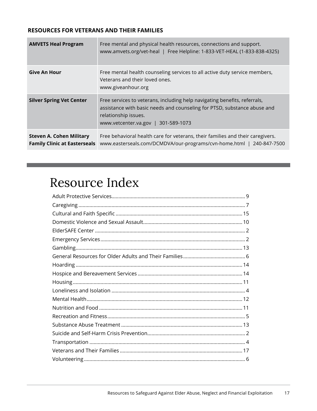#### **RESOURCES FOR VETERANS AND THEIR FAMILIES**

| <b>AMVETS Heal Program</b>                                             | Free mental and physical health resources, connections and support.<br>www.amvets.org/vet-heal   Free Helpline: 1-833-VET-HEAL (1-833-838-4325)                                                                      |
|------------------------------------------------------------------------|----------------------------------------------------------------------------------------------------------------------------------------------------------------------------------------------------------------------|
| <b>Give An Hour</b>                                                    | Free mental health counseling services to all active duty service members,<br>Veterans and their loved ones.<br>www.giveanhour.org                                                                                   |
| <b>Silver Spring Vet Center</b>                                        | Free services to veterans, including help navigating benefits, referrals,<br>assistance with basic needs and counseling for PTSD, substance abuse and<br>relationship issues.<br>www.vetcenter.va.gov   301-589-1073 |
| <b>Steven A. Cohen Military</b><br><b>Family Clinic at Easterseals</b> | Free behavioral health care for veterans, their families and their caregivers.<br>www.easterseals.com/DCMDVA/our-programs/cvn-home.html   240-847-7500                                                               |

### Resource Index